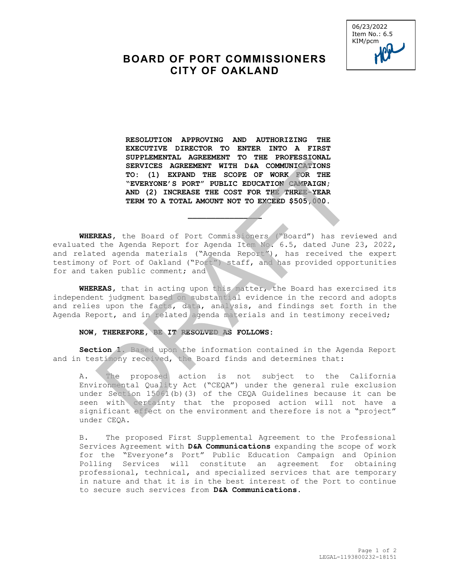

## **BOARD OF PORT COMMISSIONERS CITY OF OAKLAND**

**RESOLUTION APPROVING AND AUTHORIZING THE EXECUTIVE DIRECTOR TO ENTER INTO A FIRST SUPPLEMENTAL AGREEMENT TO THE PROFESSIONAL SERVICES AGREEMENT WITH D&A COMMUNICATIONS TO: (1) EXPAND THE SCOPE OF WORK FOR THE "EVERYONE'S PORT" PUBLIC EDUCATION CAMPAIGN; AND (2) INCREASE THE COST FOR THE THREE-YEAR TERM TO A TOTAL AMOUNT NOT TO EXCEED \$505,000.** 

**WHEREAS,** the Board of Port Commissioners ("Board") has reviewed and evaluated the Agenda Report for Agenda Item No. 6.5, dated June 23, 2022, and related agenda materials ("Agenda Report"), has received the expert testimony of Port of Oakland ("Port") staff, and has provided opportunities for and taken public comment; and

 $\overline{\phantom{a}}$ 

**WHEREAS,** that in acting upon this matter, the Board has exercised its independent judgment based on substantial evidence in the record and adopts and relies upon the facts, data, analysis, and findings set forth in the Agenda Report, and in related agenda materials and in testimony received;

## **NOW, THEREFORE, BE IT RESOLVED AS FOLLOWS:**

**Section 1.** Based upon the information contained in the Agenda Report and in testimony received, the Board finds and determines that:

A. The proposed action is not subject to the California Environmental Quality Act ("CEQA") under the general rule exclusion under Section 15061(b)(3) of the CEQA Guidelines because it can be seen with certainty that the proposed action will not have a significant effect on the environment and therefore is not a "project" under CEQA. SERVICES AGREEMENT WITH DEA COMMUNICATIONS<br>
TO: (1) EXPAND THE SCOPE OF WORK TON TEE<br>
TERM TO A TOTAL AMOUNT NOT TO EXCEED SAGREEMENT WITH DEA COMMUNICATIONS<br>
NEVER YOR TO A TOTAL AMOUNT NOT TO EXCEED \$505,000.<br>
REAS, the

B. The proposed First Supplemental Agreement to the Professional Services Agreement with **D&A Communications** expanding the scope of work for the "Everyone's Port" Public Education Campaign and Opinion Polling Services will constitute an agreement for obtaining professional, technical, and specialized services that are temporary in nature and that it is in the best interest of the Port to continue to secure such services from **D&A Communications**.